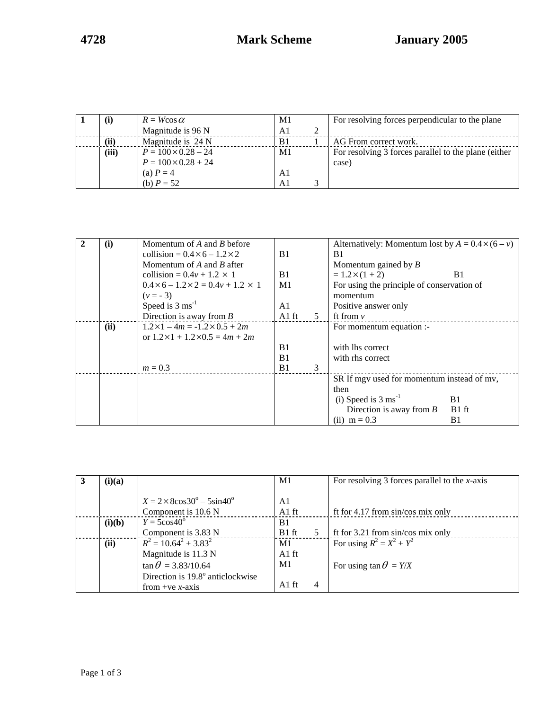| (i)   | $R = W \cos \alpha$        | M1             | For resolving forces perpendicular to the plane      |
|-------|----------------------------|----------------|------------------------------------------------------|
|       | Magnitude is 96 N          | A1             |                                                      |
| (ii)  | Magnitude is 24 N          | B <sub>1</sub> | AG From correct work.                                |
| (iii) | $P = 100 \times 0.28 - 24$ | M <sub>1</sub> | For resolving 3 forces parallel to the plane (either |
|       | $P = 100 \times 0.28 + 24$ |                | case)                                                |
|       | (a) $P = 4$                | Al             |                                                      |
|       | (b) $P = 52$               |                |                                                      |

| (i)  | Momentum of $A$ and $B$ before                      |         |   | Alternatively: Momentum lost by $A = 0.4 \times (6 - v)$ |                   |
|------|-----------------------------------------------------|---------|---|----------------------------------------------------------|-------------------|
|      | collision = $0.4 \times 6 - 1.2 \times 2$           | B1      |   | B1                                                       |                   |
|      | Momentum of $A$ and $B$ after                       |         |   | Momentum gained by $B$                                   |                   |
|      | collision = $0.4v + 1.2 \times 1$                   | B1      |   | $= 1.2 \times (1 + 2)$                                   | B1                |
|      | $0.4 \times 6 - 1.2 \times 2 = 0.4v + 1.2 \times 1$ | M1      |   | For using the principle of conservation of               |                   |
|      | $(v = -3)$                                          |         |   | momentum                                                 |                   |
|      | Speed is $3 \text{ ms}^{-1}$                        | A1      |   | Positive answer only                                     |                   |
|      | Direction is away from $B$                          | $A1$ ft | 5 | ft from $\nu$                                            |                   |
| (ii) | $1.2 \times 1 - 4m = -1.2 \times 0.5 + 2m$          |         |   | For momentum equation :-                                 |                   |
|      | or $1.2 \times 1 + 1.2 \times 0.5 = 4m + 2m$        |         |   |                                                          |                   |
|      |                                                     | B1      |   | with lhs correct                                         |                   |
|      |                                                     | B1      |   | with rhs correct                                         |                   |
|      | $m = 0.3$                                           | B1      | 3 |                                                          |                   |
|      |                                                     |         |   | SR If mgv used for momentum instead of mv,               |                   |
|      |                                                     |         |   | then                                                     |                   |
|      |                                                     |         |   | (i) Speed is $3 \text{ ms}^{-1}$                         | B1                |
|      |                                                     |         |   | Direction is away from $B$                               | B <sub>1</sub> ft |
|      |                                                     |         |   | (ii) $m = 0.3$                                           | B1                |

| (i)(a) |                                                                         | M1            |   | For resolving 3 forces parallel to the $x$ -axis |
|--------|-------------------------------------------------------------------------|---------------|---|--------------------------------------------------|
|        | $X = 2 \times 8 \cos 30^\circ - 5 \sin 40^\circ$<br>Component is 10.6 N | A1<br>$A1$ ft |   | ft for $4.17$ from $sin/cos$ mix only            |
| (i)(b) | $Y = 5\cos 40^\circ$                                                    | B1            |   |                                                  |
|        | Component is 3.83 N                                                     | $B1$ ft       |   | ft for 3.21 from sin/cos mix only                |
| (ii)   | $R^2 = 10.64^2 + 3.83^2$                                                | M1            |   | For using $R^2 = X^2 + Y^2$                      |
|        | Magnitude is 11.3 N                                                     | $A1$ ft       |   |                                                  |
|        | $\tan \theta = 3.83/10.64$                                              | M1            |   | For using $\tan \theta = Y/X$                    |
|        | Direction is 19.8° anticlockwise                                        |               |   |                                                  |
|        | from +ve x-axis                                                         | A1 ft         | 4 |                                                  |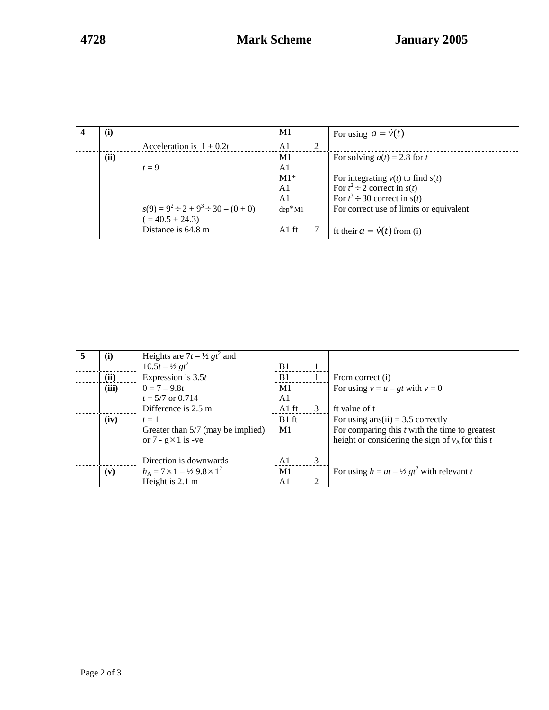| $\mathbf{u}$ |                                             | M1             |   | For using $a = \dot{v}(t)$              |
|--------------|---------------------------------------------|----------------|---|-----------------------------------------|
|              | Acceleration is $1 + 0.2t$                  | A <sub>1</sub> | 2 |                                         |
| (ii)         |                                             | M1             |   | For solving $a(t) = 2.8$ for t          |
|              | $t=9$                                       | A1             |   |                                         |
|              |                                             | $M1*$          |   | For integrating $v(t)$ to find $s(t)$   |
|              |                                             | A1             |   | For $t^2 \div 2$ correct in $s(t)$      |
|              |                                             | A1             |   | For $t^3 \div 30$ correct in $s(t)$     |
|              | $s(9) = 9^2 \div 2 + 9^3 \div 30 - (0 + 0)$ | $dep*M1$       |   | For correct use of limits or equivalent |
|              | $= 40.5 + 24.3$                             |                |   |                                         |
|              | Distance is 64.8 m                          | $A1$ ft        |   | ft their $a = \dot{v}(t)$ from (i)      |

| 5 | (i)   | Heights are $7t - \frac{1}{2}gt^2$ and          |                |   |                                                      |
|---|-------|-------------------------------------------------|----------------|---|------------------------------------------------------|
|   |       | $10.5t - \frac{1}{2}gt^2$                       | B1             |   |                                                      |
|   | (ii)  | Expression is $3.5t$                            | B1             |   | From correct (i)                                     |
|   | (iii) | $0 = 7 - 9.8t$                                  | M1             |   | For using $v = u - gt$ with $v = 0$                  |
|   |       | $t = 5/7$ or 0.714                              | A1             |   |                                                      |
|   |       | Difference is 2.5 m                             | A1 ft          | 3 | ft value of t                                        |
|   | (iv)  | $t=1$                                           | $B1$ ft        |   | For using ans(ii) = $3.5$ correctly                  |
|   |       | Greater than 5/7 (may be implied)               | M1             |   | For comparing this $t$ with the time to greatest     |
|   |       | or $7 - g \times 1$ is -ve                      |                |   | height or considering the sign of $v_A$ for this t   |
|   |       |                                                 |                |   |                                                      |
|   |       | Direction is downwards                          | A <sub>1</sub> | 3 |                                                      |
|   | (v)   | $h_A = 7 \times 1 - \frac{1}{2} 9.8 \times 1^2$ | M1             |   | For using $h = ut - \frac{1}{2}gt^2$ with relevant t |
|   |       | Height is 2.1 m                                 | A1             | 2 |                                                      |